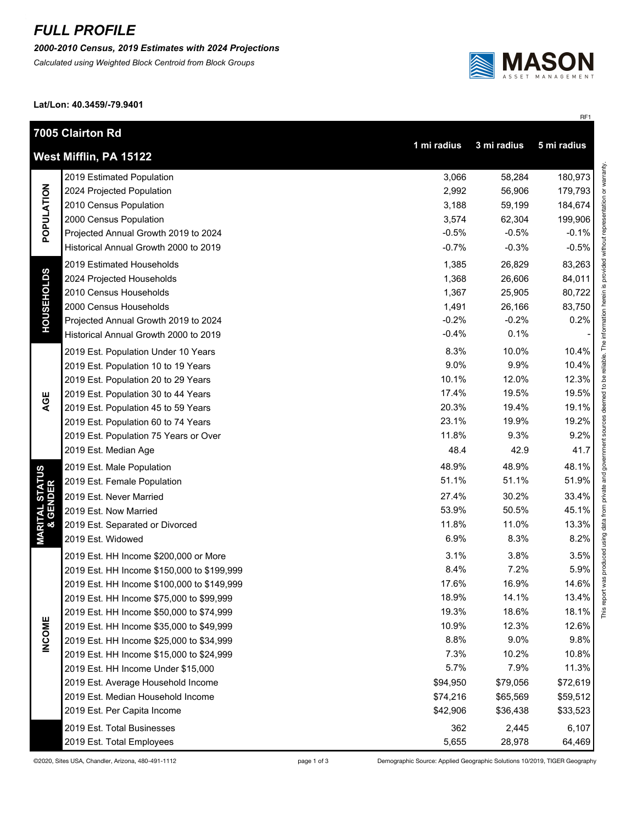## *FULL PROFILE*

*2000-2010 Census, 2019 Estimates with 2024 Projections*

*Calculated using Weighted Block Centroid from Block Groups*



RF1

This report was produced using data from private and government sources deemed to be reliable. The information herein is provided without representation or warranty.

**Lat/Lon: 40.3459/-79.9401**

| West Mifflin, PA 15122<br>2019 Estimated Population<br>3,066<br>180,973<br>58,284<br>POPULATION<br>2,992<br>179,793<br>2024 Projected Population<br>56,906<br>3,188<br>184,674<br>2010 Census Population<br>59,199<br>2000 Census Population<br>3,574<br>199,906<br>62,304<br>$-0.5%$<br>$-0.5%$<br>$-0.1%$<br>Projected Annual Growth 2019 to 2024<br>Historical Annual Growth 2000 to 2019<br>$-0.5%$<br>$-0.7%$<br>$-0.3%$<br>1,385<br>83,263<br>2019 Estimated Households<br>26,829<br><b>HOUSEHOLDS</b><br>2024 Projected Households<br>1,368<br>26,606<br>84,011<br>2010 Census Households<br>1,367<br>25,905<br>80,722<br>2000 Census Households<br>83,750<br>1,491<br>26,166<br>0.2%<br>$-0.2%$<br>$-0.2%$<br>Projected Annual Growth 2019 to 2024<br>$-0.4%$<br>0.1%<br>Historical Annual Growth 2000 to 2019<br>10.4%<br>8.3%<br>10.0%<br>2019 Est. Population Under 10 Years<br>9.0%<br>9.9%<br>10.4%<br>2019 Est. Population 10 to 19 Years<br>12.3%<br>10.1%<br>12.0%<br>2019 Est. Population 20 to 29 Years<br>17.4%<br>19.5%<br>19.5%<br>2019 Est. Population 30 to 44 Years<br>AGE<br>20.3%<br>19.4%<br>19.1%<br>2019 Est. Population 45 to 59 Years<br>23.1%<br>19.2%<br>19.9%<br>2019 Est. Population 60 to 74 Years<br>9.2%<br>11.8%<br>9.3%<br>2019 Est. Population 75 Years or Over<br>48.4<br>42.9<br>41.7<br>2019 Est. Median Age<br>48.9%<br>48.9%<br>48.1%<br>2019 Est. Male Population<br><b>MARITAL STATUS<br/>&amp; GENDER</b><br>51.1%<br>51.1%<br>51.9%<br>2019 Est. Female Population<br>27.4%<br>30.2%<br>33.4%<br>2019 Est. Never Married<br>53.9%<br>45.1%<br>50.5%<br>2019 Est. Now Married<br>13.3%<br>11.8%<br>11.0%<br>2019 Est. Separated or Divorced<br>8.2%<br>6.9%<br>8.3%<br>2019 Est. Widowed<br>3.1%<br>3.5%<br>3.8%<br>2019 Est. HH Income \$200,000 or More<br>7.2%<br>5.9%<br>8.4%<br>2019 Est. HH Income \$150,000 to \$199,999<br>17.6%<br>16.9%<br>14.6%<br>2019 Est. HH Income \$100,000 to \$149,999<br>18.9%<br>13.4%<br>14.1%<br>2019 Est. HH Income \$75,000 to \$99,999<br>This<br>19.3%<br>18.6%<br>18.1%<br>2019 Est. HH Income \$50,000 to \$74,999<br><b>INCOME</b><br>10.9%<br>12.6%<br>12.3%<br>2019 Est. HH Income \$35,000 to \$49,999<br>8.8%<br>9.0%<br>9.8%<br>2019 Est. HH Income \$25,000 to \$34,999<br>10.8%<br>7.3%<br>10.2%<br>2019 Est. HH Income \$15,000 to \$24,999<br>5.7%<br>11.3%<br>7.9%<br>2019 Est. HH Income Under \$15,000<br>2019 Est. Average Household Income<br>\$72,619<br>\$94,950<br>\$79,056<br>2019 Est. Median Household Income<br>\$74,216<br>\$59,512<br>\$65,569<br>2019 Est. Per Capita Income<br>\$42,906<br>\$33,523<br>\$36,438<br>2019 Est. Total Businesses<br>362<br>6,107<br>2,445<br>5,655<br>64,469<br>2019 Est. Total Employees<br>28,978 |  | 7005 Clairton Rd |             |             |             |  |  |
|---------------------------------------------------------------------------------------------------------------------------------------------------------------------------------------------------------------------------------------------------------------------------------------------------------------------------------------------------------------------------------------------------------------------------------------------------------------------------------------------------------------------------------------------------------------------------------------------------------------------------------------------------------------------------------------------------------------------------------------------------------------------------------------------------------------------------------------------------------------------------------------------------------------------------------------------------------------------------------------------------------------------------------------------------------------------------------------------------------------------------------------------------------------------------------------------------------------------------------------------------------------------------------------------------------------------------------------------------------------------------------------------------------------------------------------------------------------------------------------------------------------------------------------------------------------------------------------------------------------------------------------------------------------------------------------------------------------------------------------------------------------------------------------------------------------------------------------------------------------------------------------------------------------------------------------------------------------------------------------------------------------------------------------------------------------------------------------------------------------------------------------------------------------------------------------------------------------------------------------------------------------------------------------------------------------------------------------------------------------------------------------------------------------------------------------------------------------------------------------------------------------------------------------------------------------------------------------------------------------------------------------------------------------------------------------------------------------------------------------------------------|--|------------------|-------------|-------------|-------------|--|--|
|                                                                                                                                                                                                                                                                                                                                                                                                                                                                                                                                                                                                                                                                                                                                                                                                                                                                                                                                                                                                                                                                                                                                                                                                                                                                                                                                                                                                                                                                                                                                                                                                                                                                                                                                                                                                                                                                                                                                                                                                                                                                                                                                                                                                                                                                                                                                                                                                                                                                                                                                                                                                                                                                                                                                                         |  |                  | 1 mi radius | 3 mi radius | 5 mi radius |  |  |
|                                                                                                                                                                                                                                                                                                                                                                                                                                                                                                                                                                                                                                                                                                                                                                                                                                                                                                                                                                                                                                                                                                                                                                                                                                                                                                                                                                                                                                                                                                                                                                                                                                                                                                                                                                                                                                                                                                                                                                                                                                                                                                                                                                                                                                                                                                                                                                                                                                                                                                                                                                                                                                                                                                                                                         |  |                  |             |             |             |  |  |
|                                                                                                                                                                                                                                                                                                                                                                                                                                                                                                                                                                                                                                                                                                                                                                                                                                                                                                                                                                                                                                                                                                                                                                                                                                                                                                                                                                                                                                                                                                                                                                                                                                                                                                                                                                                                                                                                                                                                                                                                                                                                                                                                                                                                                                                                                                                                                                                                                                                                                                                                                                                                                                                                                                                                                         |  |                  |             |             |             |  |  |
|                                                                                                                                                                                                                                                                                                                                                                                                                                                                                                                                                                                                                                                                                                                                                                                                                                                                                                                                                                                                                                                                                                                                                                                                                                                                                                                                                                                                                                                                                                                                                                                                                                                                                                                                                                                                                                                                                                                                                                                                                                                                                                                                                                                                                                                                                                                                                                                                                                                                                                                                                                                                                                                                                                                                                         |  |                  |             |             |             |  |  |
|                                                                                                                                                                                                                                                                                                                                                                                                                                                                                                                                                                                                                                                                                                                                                                                                                                                                                                                                                                                                                                                                                                                                                                                                                                                                                                                                                                                                                                                                                                                                                                                                                                                                                                                                                                                                                                                                                                                                                                                                                                                                                                                                                                                                                                                                                                                                                                                                                                                                                                                                                                                                                                                                                                                                                         |  |                  |             |             |             |  |  |
|                                                                                                                                                                                                                                                                                                                                                                                                                                                                                                                                                                                                                                                                                                                                                                                                                                                                                                                                                                                                                                                                                                                                                                                                                                                                                                                                                                                                                                                                                                                                                                                                                                                                                                                                                                                                                                                                                                                                                                                                                                                                                                                                                                                                                                                                                                                                                                                                                                                                                                                                                                                                                                                                                                                                                         |  |                  |             |             |             |  |  |
|                                                                                                                                                                                                                                                                                                                                                                                                                                                                                                                                                                                                                                                                                                                                                                                                                                                                                                                                                                                                                                                                                                                                                                                                                                                                                                                                                                                                                                                                                                                                                                                                                                                                                                                                                                                                                                                                                                                                                                                                                                                                                                                                                                                                                                                                                                                                                                                                                                                                                                                                                                                                                                                                                                                                                         |  |                  |             |             |             |  |  |
|                                                                                                                                                                                                                                                                                                                                                                                                                                                                                                                                                                                                                                                                                                                                                                                                                                                                                                                                                                                                                                                                                                                                                                                                                                                                                                                                                                                                                                                                                                                                                                                                                                                                                                                                                                                                                                                                                                                                                                                                                                                                                                                                                                                                                                                                                                                                                                                                                                                                                                                                                                                                                                                                                                                                                         |  |                  |             |             |             |  |  |
|                                                                                                                                                                                                                                                                                                                                                                                                                                                                                                                                                                                                                                                                                                                                                                                                                                                                                                                                                                                                                                                                                                                                                                                                                                                                                                                                                                                                                                                                                                                                                                                                                                                                                                                                                                                                                                                                                                                                                                                                                                                                                                                                                                                                                                                                                                                                                                                                                                                                                                                                                                                                                                                                                                                                                         |  |                  |             |             |             |  |  |
|                                                                                                                                                                                                                                                                                                                                                                                                                                                                                                                                                                                                                                                                                                                                                                                                                                                                                                                                                                                                                                                                                                                                                                                                                                                                                                                                                                                                                                                                                                                                                                                                                                                                                                                                                                                                                                                                                                                                                                                                                                                                                                                                                                                                                                                                                                                                                                                                                                                                                                                                                                                                                                                                                                                                                         |  |                  |             |             |             |  |  |
|                                                                                                                                                                                                                                                                                                                                                                                                                                                                                                                                                                                                                                                                                                                                                                                                                                                                                                                                                                                                                                                                                                                                                                                                                                                                                                                                                                                                                                                                                                                                                                                                                                                                                                                                                                                                                                                                                                                                                                                                                                                                                                                                                                                                                                                                                                                                                                                                                                                                                                                                                                                                                                                                                                                                                         |  |                  |             |             |             |  |  |
|                                                                                                                                                                                                                                                                                                                                                                                                                                                                                                                                                                                                                                                                                                                                                                                                                                                                                                                                                                                                                                                                                                                                                                                                                                                                                                                                                                                                                                                                                                                                                                                                                                                                                                                                                                                                                                                                                                                                                                                                                                                                                                                                                                                                                                                                                                                                                                                                                                                                                                                                                                                                                                                                                                                                                         |  |                  |             |             |             |  |  |
|                                                                                                                                                                                                                                                                                                                                                                                                                                                                                                                                                                                                                                                                                                                                                                                                                                                                                                                                                                                                                                                                                                                                                                                                                                                                                                                                                                                                                                                                                                                                                                                                                                                                                                                                                                                                                                                                                                                                                                                                                                                                                                                                                                                                                                                                                                                                                                                                                                                                                                                                                                                                                                                                                                                                                         |  |                  |             |             |             |  |  |
|                                                                                                                                                                                                                                                                                                                                                                                                                                                                                                                                                                                                                                                                                                                                                                                                                                                                                                                                                                                                                                                                                                                                                                                                                                                                                                                                                                                                                                                                                                                                                                                                                                                                                                                                                                                                                                                                                                                                                                                                                                                                                                                                                                                                                                                                                                                                                                                                                                                                                                                                                                                                                                                                                                                                                         |  |                  |             |             |             |  |  |
|                                                                                                                                                                                                                                                                                                                                                                                                                                                                                                                                                                                                                                                                                                                                                                                                                                                                                                                                                                                                                                                                                                                                                                                                                                                                                                                                                                                                                                                                                                                                                                                                                                                                                                                                                                                                                                                                                                                                                                                                                                                                                                                                                                                                                                                                                                                                                                                                                                                                                                                                                                                                                                                                                                                                                         |  |                  |             |             |             |  |  |
|                                                                                                                                                                                                                                                                                                                                                                                                                                                                                                                                                                                                                                                                                                                                                                                                                                                                                                                                                                                                                                                                                                                                                                                                                                                                                                                                                                                                                                                                                                                                                                                                                                                                                                                                                                                                                                                                                                                                                                                                                                                                                                                                                                                                                                                                                                                                                                                                                                                                                                                                                                                                                                                                                                                                                         |  |                  |             |             |             |  |  |
|                                                                                                                                                                                                                                                                                                                                                                                                                                                                                                                                                                                                                                                                                                                                                                                                                                                                                                                                                                                                                                                                                                                                                                                                                                                                                                                                                                                                                                                                                                                                                                                                                                                                                                                                                                                                                                                                                                                                                                                                                                                                                                                                                                                                                                                                                                                                                                                                                                                                                                                                                                                                                                                                                                                                                         |  |                  |             |             |             |  |  |
|                                                                                                                                                                                                                                                                                                                                                                                                                                                                                                                                                                                                                                                                                                                                                                                                                                                                                                                                                                                                                                                                                                                                                                                                                                                                                                                                                                                                                                                                                                                                                                                                                                                                                                                                                                                                                                                                                                                                                                                                                                                                                                                                                                                                                                                                                                                                                                                                                                                                                                                                                                                                                                                                                                                                                         |  |                  |             |             |             |  |  |
|                                                                                                                                                                                                                                                                                                                                                                                                                                                                                                                                                                                                                                                                                                                                                                                                                                                                                                                                                                                                                                                                                                                                                                                                                                                                                                                                                                                                                                                                                                                                                                                                                                                                                                                                                                                                                                                                                                                                                                                                                                                                                                                                                                                                                                                                                                                                                                                                                                                                                                                                                                                                                                                                                                                                                         |  |                  |             |             |             |  |  |
|                                                                                                                                                                                                                                                                                                                                                                                                                                                                                                                                                                                                                                                                                                                                                                                                                                                                                                                                                                                                                                                                                                                                                                                                                                                                                                                                                                                                                                                                                                                                                                                                                                                                                                                                                                                                                                                                                                                                                                                                                                                                                                                                                                                                                                                                                                                                                                                                                                                                                                                                                                                                                                                                                                                                                         |  |                  |             |             |             |  |  |
|                                                                                                                                                                                                                                                                                                                                                                                                                                                                                                                                                                                                                                                                                                                                                                                                                                                                                                                                                                                                                                                                                                                                                                                                                                                                                                                                                                                                                                                                                                                                                                                                                                                                                                                                                                                                                                                                                                                                                                                                                                                                                                                                                                                                                                                                                                                                                                                                                                                                                                                                                                                                                                                                                                                                                         |  |                  |             |             |             |  |  |
|                                                                                                                                                                                                                                                                                                                                                                                                                                                                                                                                                                                                                                                                                                                                                                                                                                                                                                                                                                                                                                                                                                                                                                                                                                                                                                                                                                                                                                                                                                                                                                                                                                                                                                                                                                                                                                                                                                                                                                                                                                                                                                                                                                                                                                                                                                                                                                                                                                                                                                                                                                                                                                                                                                                                                         |  |                  |             |             |             |  |  |
|                                                                                                                                                                                                                                                                                                                                                                                                                                                                                                                                                                                                                                                                                                                                                                                                                                                                                                                                                                                                                                                                                                                                                                                                                                                                                                                                                                                                                                                                                                                                                                                                                                                                                                                                                                                                                                                                                                                                                                                                                                                                                                                                                                                                                                                                                                                                                                                                                                                                                                                                                                                                                                                                                                                                                         |  |                  |             |             |             |  |  |
|                                                                                                                                                                                                                                                                                                                                                                                                                                                                                                                                                                                                                                                                                                                                                                                                                                                                                                                                                                                                                                                                                                                                                                                                                                                                                                                                                                                                                                                                                                                                                                                                                                                                                                                                                                                                                                                                                                                                                                                                                                                                                                                                                                                                                                                                                                                                                                                                                                                                                                                                                                                                                                                                                                                                                         |  |                  |             |             |             |  |  |
|                                                                                                                                                                                                                                                                                                                                                                                                                                                                                                                                                                                                                                                                                                                                                                                                                                                                                                                                                                                                                                                                                                                                                                                                                                                                                                                                                                                                                                                                                                                                                                                                                                                                                                                                                                                                                                                                                                                                                                                                                                                                                                                                                                                                                                                                                                                                                                                                                                                                                                                                                                                                                                                                                                                                                         |  |                  |             |             |             |  |  |
|                                                                                                                                                                                                                                                                                                                                                                                                                                                                                                                                                                                                                                                                                                                                                                                                                                                                                                                                                                                                                                                                                                                                                                                                                                                                                                                                                                                                                                                                                                                                                                                                                                                                                                                                                                                                                                                                                                                                                                                                                                                                                                                                                                                                                                                                                                                                                                                                                                                                                                                                                                                                                                                                                                                                                         |  |                  |             |             |             |  |  |
|                                                                                                                                                                                                                                                                                                                                                                                                                                                                                                                                                                                                                                                                                                                                                                                                                                                                                                                                                                                                                                                                                                                                                                                                                                                                                                                                                                                                                                                                                                                                                                                                                                                                                                                                                                                                                                                                                                                                                                                                                                                                                                                                                                                                                                                                                                                                                                                                                                                                                                                                                                                                                                                                                                                                                         |  |                  |             |             |             |  |  |
|                                                                                                                                                                                                                                                                                                                                                                                                                                                                                                                                                                                                                                                                                                                                                                                                                                                                                                                                                                                                                                                                                                                                                                                                                                                                                                                                                                                                                                                                                                                                                                                                                                                                                                                                                                                                                                                                                                                                                                                                                                                                                                                                                                                                                                                                                                                                                                                                                                                                                                                                                                                                                                                                                                                                                         |  |                  |             |             |             |  |  |
|                                                                                                                                                                                                                                                                                                                                                                                                                                                                                                                                                                                                                                                                                                                                                                                                                                                                                                                                                                                                                                                                                                                                                                                                                                                                                                                                                                                                                                                                                                                                                                                                                                                                                                                                                                                                                                                                                                                                                                                                                                                                                                                                                                                                                                                                                                                                                                                                                                                                                                                                                                                                                                                                                                                                                         |  |                  |             |             |             |  |  |
|                                                                                                                                                                                                                                                                                                                                                                                                                                                                                                                                                                                                                                                                                                                                                                                                                                                                                                                                                                                                                                                                                                                                                                                                                                                                                                                                                                                                                                                                                                                                                                                                                                                                                                                                                                                                                                                                                                                                                                                                                                                                                                                                                                                                                                                                                                                                                                                                                                                                                                                                                                                                                                                                                                                                                         |  |                  |             |             |             |  |  |
|                                                                                                                                                                                                                                                                                                                                                                                                                                                                                                                                                                                                                                                                                                                                                                                                                                                                                                                                                                                                                                                                                                                                                                                                                                                                                                                                                                                                                                                                                                                                                                                                                                                                                                                                                                                                                                                                                                                                                                                                                                                                                                                                                                                                                                                                                                                                                                                                                                                                                                                                                                                                                                                                                                                                                         |  |                  |             |             |             |  |  |
|                                                                                                                                                                                                                                                                                                                                                                                                                                                                                                                                                                                                                                                                                                                                                                                                                                                                                                                                                                                                                                                                                                                                                                                                                                                                                                                                                                                                                                                                                                                                                                                                                                                                                                                                                                                                                                                                                                                                                                                                                                                                                                                                                                                                                                                                                                                                                                                                                                                                                                                                                                                                                                                                                                                                                         |  |                  |             |             |             |  |  |
|                                                                                                                                                                                                                                                                                                                                                                                                                                                                                                                                                                                                                                                                                                                                                                                                                                                                                                                                                                                                                                                                                                                                                                                                                                                                                                                                                                                                                                                                                                                                                                                                                                                                                                                                                                                                                                                                                                                                                                                                                                                                                                                                                                                                                                                                                                                                                                                                                                                                                                                                                                                                                                                                                                                                                         |  |                  |             |             |             |  |  |
|                                                                                                                                                                                                                                                                                                                                                                                                                                                                                                                                                                                                                                                                                                                                                                                                                                                                                                                                                                                                                                                                                                                                                                                                                                                                                                                                                                                                                                                                                                                                                                                                                                                                                                                                                                                                                                                                                                                                                                                                                                                                                                                                                                                                                                                                                                                                                                                                                                                                                                                                                                                                                                                                                                                                                         |  |                  |             |             |             |  |  |
|                                                                                                                                                                                                                                                                                                                                                                                                                                                                                                                                                                                                                                                                                                                                                                                                                                                                                                                                                                                                                                                                                                                                                                                                                                                                                                                                                                                                                                                                                                                                                                                                                                                                                                                                                                                                                                                                                                                                                                                                                                                                                                                                                                                                                                                                                                                                                                                                                                                                                                                                                                                                                                                                                                                                                         |  |                  |             |             |             |  |  |
|                                                                                                                                                                                                                                                                                                                                                                                                                                                                                                                                                                                                                                                                                                                                                                                                                                                                                                                                                                                                                                                                                                                                                                                                                                                                                                                                                                                                                                                                                                                                                                                                                                                                                                                                                                                                                                                                                                                                                                                                                                                                                                                                                                                                                                                                                                                                                                                                                                                                                                                                                                                                                                                                                                                                                         |  |                  |             |             |             |  |  |
|                                                                                                                                                                                                                                                                                                                                                                                                                                                                                                                                                                                                                                                                                                                                                                                                                                                                                                                                                                                                                                                                                                                                                                                                                                                                                                                                                                                                                                                                                                                                                                                                                                                                                                                                                                                                                                                                                                                                                                                                                                                                                                                                                                                                                                                                                                                                                                                                                                                                                                                                                                                                                                                                                                                                                         |  |                  |             |             |             |  |  |
|                                                                                                                                                                                                                                                                                                                                                                                                                                                                                                                                                                                                                                                                                                                                                                                                                                                                                                                                                                                                                                                                                                                                                                                                                                                                                                                                                                                                                                                                                                                                                                                                                                                                                                                                                                                                                                                                                                                                                                                                                                                                                                                                                                                                                                                                                                                                                                                                                                                                                                                                                                                                                                                                                                                                                         |  |                  |             |             |             |  |  |
|                                                                                                                                                                                                                                                                                                                                                                                                                                                                                                                                                                                                                                                                                                                                                                                                                                                                                                                                                                                                                                                                                                                                                                                                                                                                                                                                                                                                                                                                                                                                                                                                                                                                                                                                                                                                                                                                                                                                                                                                                                                                                                                                                                                                                                                                                                                                                                                                                                                                                                                                                                                                                                                                                                                                                         |  |                  |             |             |             |  |  |
|                                                                                                                                                                                                                                                                                                                                                                                                                                                                                                                                                                                                                                                                                                                                                                                                                                                                                                                                                                                                                                                                                                                                                                                                                                                                                                                                                                                                                                                                                                                                                                                                                                                                                                                                                                                                                                                                                                                                                                                                                                                                                                                                                                                                                                                                                                                                                                                                                                                                                                                                                                                                                                                                                                                                                         |  |                  |             |             |             |  |  |
|                                                                                                                                                                                                                                                                                                                                                                                                                                                                                                                                                                                                                                                                                                                                                                                                                                                                                                                                                                                                                                                                                                                                                                                                                                                                                                                                                                                                                                                                                                                                                                                                                                                                                                                                                                                                                                                                                                                                                                                                                                                                                                                                                                                                                                                                                                                                                                                                                                                                                                                                                                                                                                                                                                                                                         |  |                  |             |             |             |  |  |

©2020, Sites USA, Chandler, Arizona, 480-491-1112 page 1 of 3 Demographic Source: Applied Geographic Solutions 10/2019, TIGER Geography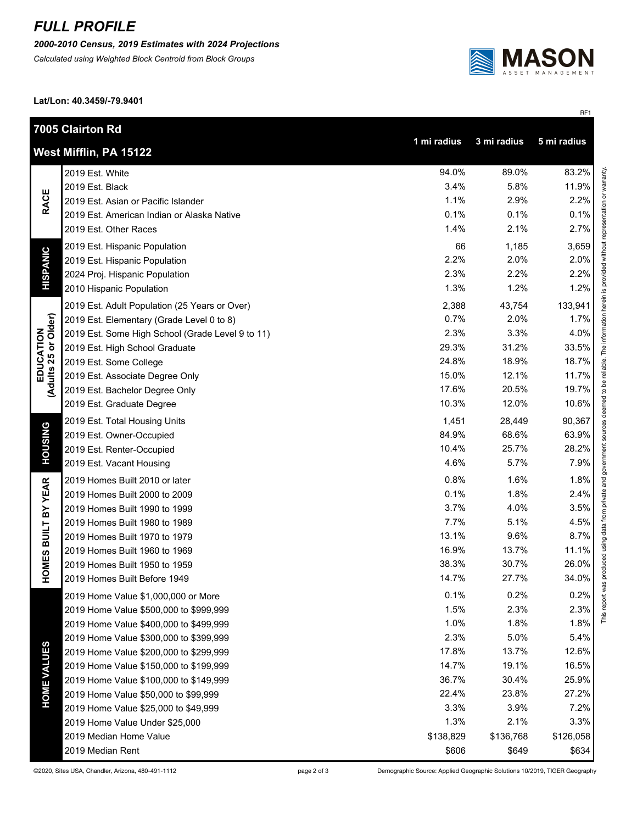## *FULL PROFILE*

*2000-2010 Census, 2019 Estimates with 2024 Projections*

*Calculated using Weighted Block Centroid from Block Groups*



RF1

This report was produced using data from private and government sources deemed to be reliable. The information herein is provided without representation or warranty.

**Lat/Lon: 40.3459/-79.9401**

|                                   | 7005 Clairton Rd                                                    |           |           |                |  |  |  |
|-----------------------------------|---------------------------------------------------------------------|-----------|-----------|----------------|--|--|--|
|                                   | 1 mi radius<br>3 mi radius<br>5 mi radius<br>West Mifflin, PA 15122 |           |           |                |  |  |  |
| <b>RACE</b>                       | 2019 Est. White                                                     | 94.0%     | 89.0%     | 83.2%<br>ranty |  |  |  |
|                                   | 2019 Est. Black                                                     | 3.4%      | 5.8%      | 11.9%          |  |  |  |
|                                   | 2019 Est. Asian or Pacific Islander                                 | 1.1%      | 2.9%      | 2.2%           |  |  |  |
|                                   | 2019 Est. American Indian or Alaska Native                          | 0.1%      | 0.1%      | 0.1%           |  |  |  |
|                                   | 2019 Est. Other Races                                               | 1.4%      | 2.1%      | 2.7%           |  |  |  |
|                                   | 2019 Est. Hispanic Population                                       | 66        | 1,185     | 3,659          |  |  |  |
| <b>HISPANIC</b>                   | 2019 Est. Hispanic Population                                       | 2.2%      | 2.0%      | 2.0%           |  |  |  |
|                                   | 2024 Proj. Hispanic Population                                      | 2.3%      | 2.2%      | 2.2%           |  |  |  |
|                                   | 2010 Hispanic Population                                            | 1.3%      | 1.2%      | 1.2%           |  |  |  |
|                                   | 2019 Est. Adult Population (25 Years or Over)                       | 2,388     | 43,754    | 133,941        |  |  |  |
|                                   | 2019 Est. Elementary (Grade Level 0 to 8)                           | 0.7%      | 2.0%      | 1.7%           |  |  |  |
|                                   | 2019 Est. Some High School (Grade Level 9 to 11)                    | 2.3%      | 3.3%      | 4.0%           |  |  |  |
|                                   | 2019 Est. High School Graduate                                      | 29.3%     | 31.2%     | 33.5%          |  |  |  |
|                                   | 2019 Est. Some College                                              | 24.8%     | 18.9%     | 18.7%          |  |  |  |
|                                   | 2019 Est. Associate Degree Only                                     | 15.0%     | 12.1%     | 11.7%          |  |  |  |
| EDUCATION<br>(Adults 25 or Older) | 2019 Est. Bachelor Degree Only                                      | 17.6%     | 20.5%     | 19.7%          |  |  |  |
|                                   | 2019 Est. Graduate Degree                                           | 10.3%     | 12.0%     | 10.6%          |  |  |  |
|                                   | 2019 Est. Total Housing Units                                       | 1,451     | 28,449    | 90,367         |  |  |  |
|                                   | 2019 Est. Owner-Occupied                                            | 84.9%     | 68.6%     | 63.9%          |  |  |  |
| <b>HOUSING</b>                    | 2019 Est. Renter-Occupied                                           | 10.4%     | 25.7%     | 28.2%          |  |  |  |
|                                   | 2019 Est. Vacant Housing                                            | 4.6%      | 5.7%      | 7.9%           |  |  |  |
|                                   | 2019 Homes Built 2010 or later                                      | 0.8%      | 1.6%      | 1.8%           |  |  |  |
| <b>BUILT BY YEAR</b>              | 2019 Homes Built 2000 to 2009                                       | 0.1%      | 1.8%      | 2.4%           |  |  |  |
|                                   | 2019 Homes Built 1990 to 1999                                       | 3.7%      | 4.0%      | 3.5%           |  |  |  |
|                                   | 2019 Homes Built 1980 to 1989                                       | 7.7%      | 5.1%      | 4.5%           |  |  |  |
|                                   | 2019 Homes Built 1970 to 1979                                       | 13.1%     | 9.6%      | 8.7%           |  |  |  |
|                                   | 2019 Homes Built 1960 to 1969                                       | 16.9%     | 13.7%     | 11.1%          |  |  |  |
| HOMES                             | 2019 Homes Built 1950 to 1959                                       | 38.3%     | 30.7%     | 26.0%          |  |  |  |
|                                   | 2019 Homes Built Before 1949                                        | 14.7%     | 27.7%     | 34.0%          |  |  |  |
|                                   | 2019 Home Value \$1,000,000 or More                                 | 0.1%      | 0.2%      | 0.2%           |  |  |  |
| <b>HOME VALUES</b>                | 2019 Home Value \$500,000 to \$999,999                              | 1.5%      | 2.3%      | 2.3%           |  |  |  |
|                                   | 2019 Home Value \$400,000 to \$499,999                              | 1.0%      | 1.8%      | 1.8%           |  |  |  |
|                                   | 2019 Home Value \$300,000 to \$399,999                              | 2.3%      | 5.0%      | 5.4%           |  |  |  |
|                                   | 2019 Home Value \$200,000 to \$299,999                              | 17.8%     | 13.7%     | 12.6%          |  |  |  |
|                                   | 2019 Home Value \$150,000 to \$199,999                              | 14.7%     | 19.1%     | 16.5%          |  |  |  |
|                                   | 2019 Home Value \$100,000 to \$149,999                              | 36.7%     | 30.4%     | 25.9%          |  |  |  |
|                                   | 2019 Home Value \$50,000 to \$99,999                                | 22.4%     | 23.8%     | 27.2%          |  |  |  |
|                                   | 2019 Home Value \$25,000 to \$49,999                                | 3.3%      | 3.9%      | 7.2%           |  |  |  |
|                                   | 2019 Home Value Under \$25,000                                      | 1.3%      | 2.1%      | 3.3%           |  |  |  |
|                                   | 2019 Median Home Value                                              | \$138,829 | \$136,768 | \$126,058      |  |  |  |
|                                   | 2019 Median Rent                                                    | \$606     | \$649     | \$634          |  |  |  |

©2020, Sites USA, Chandler, Arizona, 480-491-1112 page 2 of 3 Demographic Source: Applied Geographic Solutions 10/2019, TIGER Geography